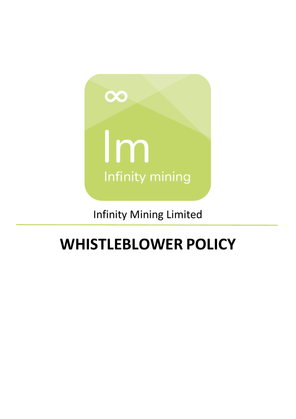

Infinity Mining Limited

# **WHISTLEBLOWER POLICY**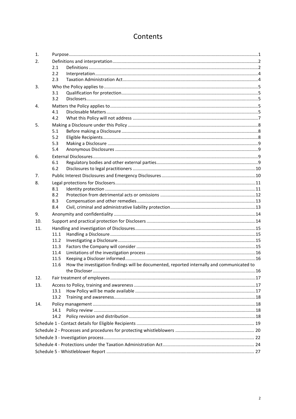# Contents

| 1.  |                                                                                                    |  |  |  |  |
|-----|----------------------------------------------------------------------------------------------------|--|--|--|--|
| 2.  |                                                                                                    |  |  |  |  |
|     | 2.1                                                                                                |  |  |  |  |
|     | 2.2                                                                                                |  |  |  |  |
|     | 2.3                                                                                                |  |  |  |  |
| 3.  |                                                                                                    |  |  |  |  |
|     | 3.1                                                                                                |  |  |  |  |
|     | 3.2                                                                                                |  |  |  |  |
| 4.  |                                                                                                    |  |  |  |  |
|     | 4.1                                                                                                |  |  |  |  |
|     | 4.2                                                                                                |  |  |  |  |
| 5.  |                                                                                                    |  |  |  |  |
|     | 5.1                                                                                                |  |  |  |  |
|     | 5.2                                                                                                |  |  |  |  |
|     | 5.3                                                                                                |  |  |  |  |
|     | 5.4                                                                                                |  |  |  |  |
| 6.  |                                                                                                    |  |  |  |  |
|     | 6.1                                                                                                |  |  |  |  |
|     | 6.2                                                                                                |  |  |  |  |
| 7.  |                                                                                                    |  |  |  |  |
| 8.  |                                                                                                    |  |  |  |  |
|     | 8.1                                                                                                |  |  |  |  |
|     | 8.2                                                                                                |  |  |  |  |
|     | 8.3                                                                                                |  |  |  |  |
|     | 8.4                                                                                                |  |  |  |  |
| 9.  |                                                                                                    |  |  |  |  |
| 10. |                                                                                                    |  |  |  |  |
| 11. |                                                                                                    |  |  |  |  |
|     | 11.1                                                                                               |  |  |  |  |
|     | 11.2                                                                                               |  |  |  |  |
|     | 11.3                                                                                               |  |  |  |  |
|     | 11.4                                                                                               |  |  |  |  |
|     | 11.5                                                                                               |  |  |  |  |
|     | How the investigation findings will be documented, reported internally and communicated to<br>11.6 |  |  |  |  |
|     |                                                                                                    |  |  |  |  |
| 12. |                                                                                                    |  |  |  |  |
| 13. |                                                                                                    |  |  |  |  |
|     | 13.1                                                                                               |  |  |  |  |
|     | 13.2                                                                                               |  |  |  |  |
| 14. |                                                                                                    |  |  |  |  |
|     | 14.1                                                                                               |  |  |  |  |
|     | 14.2                                                                                               |  |  |  |  |
|     |                                                                                                    |  |  |  |  |
|     |                                                                                                    |  |  |  |  |
|     |                                                                                                    |  |  |  |  |
|     |                                                                                                    |  |  |  |  |
|     |                                                                                                    |  |  |  |  |
|     |                                                                                                    |  |  |  |  |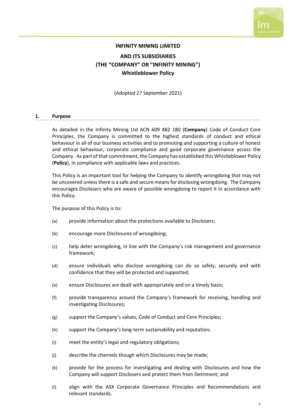

## **INFINITY MINING LIMITED AND ITS SUBSIDIARIES (THE "COMPANY" OR "INFINITY MINING") Whistleblower Policy**

(Adopted 27 September 2021)

#### <span id="page-2-0"></span>**1. Purpose**

As detailed in the Infinity Mining Ltd ACN 609 482 180 (**Company**) Code of Conduct Core Principles, the Company is committed to the highest standards of conduct and ethical behaviour in all of our business activities and to promoting and supporting a culture of honest and ethical behaviour, corporate compliance and good corporate governance across the Company. As part of that commitment, the Company has established this Whistleblower Policy (**Policy**), in compliance with applicable laws and practices.

This Policy is an important tool for helping the Company to identify wrongdoing that may not be uncovered unless there is a safe and secure means for disclosing wrongdoing. The Company encourages Disclosers who are aware of possible wrongdoing to report it in accordance with this Policy.

The purpose of this Policy is to:

- (a) provide information about the protections available to Disclosers;
- (b) encourage more Disclosures of wrongdoing;
- (c) help deter wrongdoing, in line with the Company's risk management and governance framework;
- (d) ensure individuals who disclose wrongdoing can do so safely, securely and with confidence that they will be protected and supported;
- (e) ensure Disclosures are dealt with appropriately and on a timely basis;
- (f) provide transparency around the Company's framework for receiving, handling and investigating Disclosures;
- (g) support the Company's values, Code of Conduct and Core Principles;
- (h) support the Company's long-term sustainability and reputation;
- (i) meet the entity's legal and regulatory obligations;
- (j) describe the channels though which Disclosures may be made;
- (k) provide for the process for investigating and dealing with Disclosures and how the Company will support Disclosers and protect them from Detriment; and
- (l) align with the ASX Corporate Governance Principles and Recommendations and relevant standards.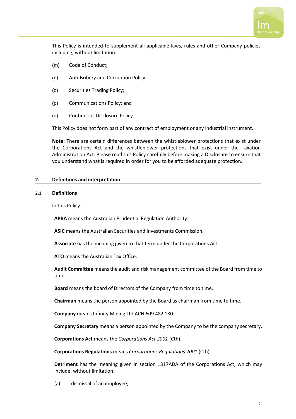

This Policy is intended to supplement all applicable laws, rules and other Company policies including, without limitation:

- (m) Code of Conduct;
- (n) Anti-Bribery and Corruption Policy;
- (o) Securities Trading Policy;
- (p) Communications Policy; and
- (q) Continuous Disclosure Policy.

This Policy does not form part of any contract of employment or any industrial instrument.

**Note**: There are certain differences between the whistleblower protections that exist under the Corporations Act and the whistleblower protections that exist under the Taxation Administration Act. Please read this Policy carefully before making a Disclosure to ensure that you understand what is required in order for you to be afforded adequate protection.

#### <span id="page-3-0"></span>**2. Definitions and interpretation**

#### <span id="page-3-1"></span>2.1 **Definitions**

In this Policy:

**APRA** means the Australian Prudential Regulation Authority.

**ASIC** means the Australian Securities and Investments Commission.

**Associate** has the meaning given to that term under the Corporations Act.

**ATO** means the Australian Tax Office.

**Audit Committee** means the audit and risk management committee of the Board from time to time.

**Board** means the board of Directors of the Company from time to time.

**Chairman** means the person appointed by the Board as chairman from time to time.

**Company** means Infinity Mining Ltd ACN 609 482 180.

**Company Secretary** means a person appointed by the Company to be the company secretary.

**Corporations Act** means the *Corporations Act 2001* (Cth).

**Corporations Regulations** means *Corporations Regulations 2001* (Cth).

**Detriment** has the meaning given in section 1317ADA of the Corporations Act, which may include, without limitation:

(a) dismissal of an employee;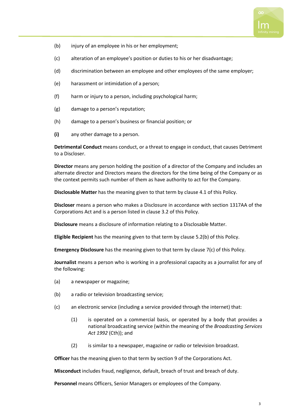

- (b) injury of an employee in his or her employment;
- (c) alteration of an employee's position or duties to his or her disadvantage;
- (d) discrimination between an employee and other employees of the same employer;
- (e) harassment or intimidation of a person;
- (f) harm or injury to a person, including psychological harm;
- (g) damage to a person's reputation;
- (h) damage to a person's business or financial position; or
- **(i)** any other damage to a person.

**Detrimental Conduct** means conduct, or a threat to engage in conduct, that causes Detriment to a Discloser.

**Director** means any person holding the position of a director of the Company and includes an alternate director and Directors means the directors for the time being of the Company or as the context permits such number of them as have authority to act for the Company.

**Disclosable Matter** has the meaning given to that term by clause [4.1](#page-6-4) of this Policy.

**Discloser** means a person who makes a Disclosure in accordance with section 1317AA of the Corporations Act and is a person listed in clause [3.2](#page-6-2) of this Policy.

**Disclosure** means a disclosure of information relating to a Disclosable Matter.

**Eligible Recipient** has the meaning given to that term by clause [5.2\(b\)](#page-9-3) of this Policy.

**Emergency Disclosure** has the meaning given to that term by clause [7\(c\)](#page-11-2) of this Policy.

**Journalist** means a person who is working in a professional capacity as a journalist for any of the following:

- (a) a newspaper or magazine;
- (b) a radio or television broadcasting service;
- (c) an electronic service (including a service provided through the internet) that:
	- (1) is operated on a commercial basis, or operated by a body that provides a national broadcasting service (within the meaning of the *Broadcasting Services Act 1992* (Cth)); and
	- (2) is similar to a newspaper, magazine or radio or television broadcast.

**Officer** has the meaning given to that term by section 9 of the Corporations Act.

**Misconduct** includes fraud, negligence, default, breach of trust and breach of duty.

**Personnel** means Officers, Senior Managers or employees of the Company.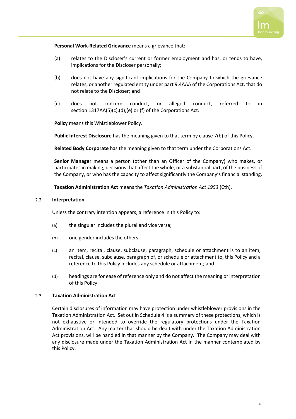

#### **Personal Work-Related Grievance** means a grievance that:

- (a) relates to the Discloser's current or former employment and has, or tends to have, implications for the Discloser personally;
- (b) does not have any significant implications for the Company to which the grievance relates, or another regulated entity under part 9.4AAA of the Corporations Act, that do not relate to the Discloser; and
- (c) does not concern conduct, or alleged conduct, referred to in section 1317AA(5)(c),(d),(e) or (f) of the Corporations Act.

**Policy** means this Whistleblower Policy.

**Public Interest Disclosure** has the meaning given to that term by clause [7\(b\)](#page-11-3) of this Policy.

**Related Body Corporate** has the meaning given to that term under the Corporations Act.

**Senior Manager** means a person (other than an Officer of the Company) who makes, or participates in making, decisions that affect the whole, or a substantial part, of the business of the Company, or who has the capacity to affect significantly the Company's financial standing.

**Taxation Administration Act** means the *Taxation Administration Act 1953* (Cth).

#### <span id="page-5-0"></span>2.2 **Interpretation**

Unless the contrary intention appears, a reference in this Policy to:

- (a) the singular includes the plural and vice versa;
- (b) one gender includes the others;
- (c) an item, recital, clause, subclause, paragraph, schedule or attachment is to an item, recital, clause, subclause, paragraph of, or schedule or attachment to, this Policy and a reference to this Policy includes any schedule or attachment; and
- (d) headings are for ease of reference only and do not affect the meaning or interpretation of this Policy.

#### <span id="page-5-1"></span>2.3 **Taxation Administration Act**

Certain disclosures of information may have protection under whistleblower provisions in the Taxation Administration Act. Set out in [Schedule](#page-25-0) 4 is a summary of these protections, which is not exhaustive or intended to override the regulatory protections under the Taxation Administration Act. Any matter that should be dealt with under the Taxation Administration Act provisions, will be handled in that manner by the Company. The Company may deal with any disclosure made under the Taxation Administration Act in the manner contemplated by this Policy.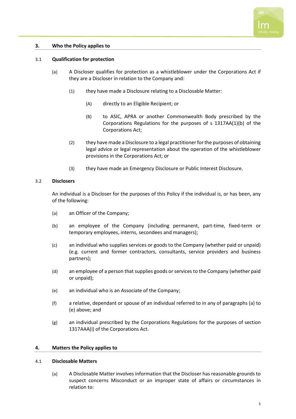

#### <span id="page-6-0"></span>**3. Who the Policy applies to**

#### <span id="page-6-1"></span>3.1 **Qualification for protection**

- (a) A Discloser qualifies for protection as a whistleblower under the Corporations Act if they are a Discloser in relation to the Company and:
	- (1) they have made a Disclosure relating to a Disclosable Matter:
		- (A) directly to an Eligible Recipient; or
		- (B) to ASIC, APRA or another Commonwealth Body prescribed by the Corporations Regulations for the purposes of s 1317AA(1)(b) of the Corporations Act;
	- (2) they have made a Disclosure to a legal practitioner for the purposes of obtaining legal advice or legal representation about the operation of the whistleblower provisions in the Corporations Act; or
	- (3) they have made an Emergency Disclosure or Public Interest Disclosure.

#### <span id="page-6-2"></span>3.2 **Disclosers**

An individual is a Discloser for the purposes of this Policy if the individual is, or has been, any of the following:

- <span id="page-6-5"></span>(a) an Officer of the Company;
- (b) an employee of the Company (including permanent, part-time, fixed-term or temporary employees, interns, secondees and managers);
- (c) an individual who supplies services or goods to the Company (whether paid or unpaid) (e.g. current and former contractors, consultants, service providers and business partners);
- (d) an employee of a person that supplies goods or services to the Company (whether paid or unpaid);
- <span id="page-6-6"></span>(e) an individual who is an Associate of the Company;
- (f) a relative, dependant or spouse of an individual referred to in any of paragraphs [\(a\)](#page-6-5) to [\(e\)](#page-6-6) above; and
- (g) an individual prescribed by the Corporations Regulations for the purposes of section 1317AAA(i) of the Corporations Act.

#### <span id="page-6-3"></span>**4. Matters the Policy applies to**

#### <span id="page-6-4"></span>4.1 **Disclosable Matters**

(a) A Disclosable Matter involves information that the Discloser has reasonable grounds to suspect concerns Misconduct or an improper state of affairs or circumstances in relation to: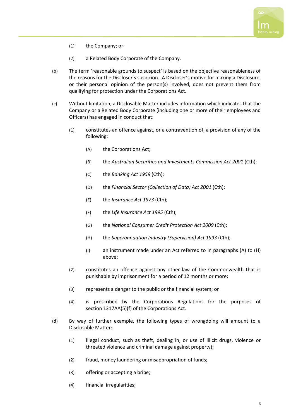

- (1) the Company; or
- (2) a Related Body Corporate of the Company.
- (b) The term 'reasonable grounds to suspect' is based on the objective reasonableness of the reasons for the Discloser's suspicion. A Discloser's motive for making a Disclosure, or their personal opinion of the person(s) involved, does not prevent them from qualifying for protection under the Corporations Act.
- <span id="page-7-0"></span>(c) Without limitation, a Disclosable Matter includes information which indicates that the Company or a Related Body Corporate (including one or more of their employees and Officers) has engaged in conduct that:
	- (1) constitutes an offence against, or a contravention of, a provision of any of the following:
		- (A) the Corporations Act;
		- (B) the *Australian Securities and Investments Commission Act 2001* (Cth);
		- (C) the *Banking Act 1959* (Cth);
		- (D) the *Financial Sector (Collection of Data) Act 2001* (Cth);
		- (E) the *Insurance Act 1973* (Cth);
		- (F) the *Life Insurance Act 1995* (Cth);
		- (G) the *National Consumer Credit Protection Act 2009* (Cth);
		- (H) the *Superannuation Industry (Supervision) Act 1993* (Cth);
		- (I) an instrument made under an Act referred to in paragraphs [\(A\)](#page-7-0) to [\(H\)](#page-7-1) above;
	- (2) constitutes an offence against any other law of the Commonwealth that is punishable by imprisonment for a period of 12 months or more;
	- (3) represents a danger to the public or the financial system; or
	- (4) is prescribed by the Corporations Regulations for the purposes of section 1317AA(5)(f) of the Corporations Act.
- <span id="page-7-1"></span>(d) By way of further example, the following types of wrongdoing will amount to a Disclosable Matter:
	- (1) illegal conduct, such as theft, dealing in, or use of illicit drugs, violence or threated violence and criminal damage against property);
	- (2) fraud, money laundering or misappropriation of funds;
	- (3) offering or accepting a bribe;
	- (4) financial irregularities;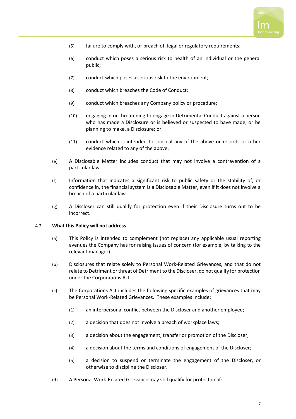

- (5) failure to comply with, or breach of, legal or regulatory requirements;
- (6) conduct which poses a serious risk to health of an individual or the general public;
- (7) conduct which poses a serious risk to the environment;
- (8) conduct which breaches the Code of Conduct;
- (9) conduct which breaches any Company policy or procedure;
- (10) engaging in or threatening to engage in Detrimental Conduct against a person who has made a Disclosure or is believed or suspected to have made, or be planning to make, a Disclosure; or
- (11) conduct which is intended to conceal any of the above or records or other evidence related to any of the above.
- (e) A Disclosable Matter includes conduct that may not involve a contravention of a particular law.
- (f) Information that indicates a significant risk to public safety or the stability of, or confidence in, the financial system is a Disclosable Matter, even if it does not involve a breach of a particular law.
- (g) A Discloser can still qualify for protection even if their Disclosure turns out to be incorrect.

#### <span id="page-8-0"></span>4.2 **What this Policy will not address**

- (a) This Policy is intended to complement (not replace) any applicable usual reporting avenues the Company has for raising issues of concern (for example, by talking to the relevant manager).
- (b) Disclosures that relate solely to Personal Work-Related Grievances, and that do not relate to Detriment or threat of Detriment to the Discloser, do not qualify for protection under the Corporations Act.
- (c) The Corporations Act includes the following specific examples of grievances that may be Personal Work-Related Grievances. These examples include:
	- (1) an interpersonal conflict between the Discloser and another employee;
	- (2) a decision that does not involve a breach of workplace laws;
	- (3) a decision about the engagement, transfer or promotion of the Discloser;
	- (4) a decision about the terms and conditions of engagement of the Discloser;
	- (5) a decision to suspend or terminate the engagement of the Discloser, or otherwise to discipline the Discloser.
- (d) A Personal Work-Related Grievance may still qualify for protection if: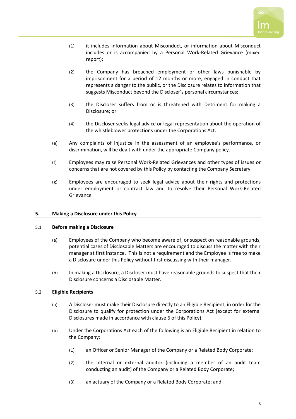

- (1) it includes information about Misconduct, or information about Misconduct includes or is accompanied by a Personal Work-Related Grievance (mixed report);
- (2) the Company has breached employment or other laws punishable by imprisonment for a period of 12 months or more, engaged in conduct that represents a danger to the public, or the Disclosure relates to information that suggests Misconduct beyond the Discloser's personal circumstances;
- (3) the Discloser suffers from or is threatened with Detriment for making a Disclosure; or
- (4) the Discloser seeks legal advice or legal representation about the operation of the whistleblower protections under the Corporations Act.
- (e) Any complaints of injustice in the assessment of an employee's performance, or discrimination, will be dealt with under the appropriate Company policy.
- (f) Employees may raise Personal Work-Related Grievances and other types of issues or concerns that are not covered by this Policy by contacting the Company Secretary
- (g) Employees are encouraged to seek legal advice about their rights and protections under employment or contract law and to resolve their Personal Work-Related Grievance.

#### <span id="page-9-0"></span>**5. Making a Disclosure under this Policy**

#### <span id="page-9-1"></span>5.1 **Before making a Disclosure**

- (a) Employees of the Company who become aware of, or suspect on reasonable grounds, potential cases of Disclosable Matters are encouraged to discuss the matter with their manager at first instance. This is not a requirement and the Employee is free to make a Disclosure under this Policy without first discussing with their manager.
- (b) In making a Disclosure, a Discloser must have reasonable grounds to suspect that their Disclosure concerns a Disclosable Matter.

#### <span id="page-9-2"></span>5.2 **Eligible Recipients**

- (a) A Discloser must make their Disclosure directly to an Eligible Recipient, in order for the Disclosure to qualify for protection under the Corporations Act (except for external Disclosures made in accordance with clause [6](#page-10-2) of this Policy).
- <span id="page-9-3"></span>(b) Under the Corporations Act each of the following is an Eligible Recipient in relation to the Company:
	- (1) an Officer or Senior Manager of the Company or a Related Body Corporate;
	- (2) the internal or external auditor (including a member of an audit team conducting an audit) of the Company or a Related Body Corporate;
	- (3) an actuary of the Company or a Related Body Corporate; and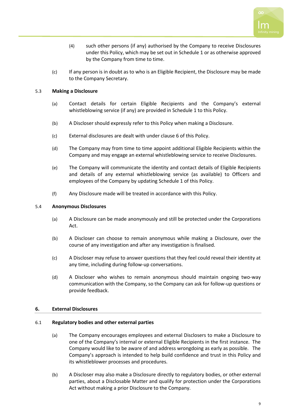

- (4) such other persons (if any) authorised by the Company to receive Disclosures under this Policy, which may be set out in [Schedule](#page-20-0) 1 or as otherwise approved by the Company from time to time.
- (c) If any person is in doubt as to who is an Eligible Recipient, the Disclosure may be made to the Company Secretary.

#### <span id="page-10-0"></span>5.3 **Making a Disclosure**

- (a) Contact details for certain Eligible Recipients and the Company's external whistleblowing service (if any) are provided i[n Schedule](#page-20-0) 1 to this Policy.
- (b) A Discloser should expressly refer to this Policy when making a Disclosure.
- (c) External disclosures are dealt with under clause [6](#page-10-2) of this Policy.
- (d) The Company may from time to time appoint additional Eligible Recipients within the Company and may engage an external whistleblowing service to receive Disclosures.
- (e) The Company will communicate the identity and contact details of Eligible Recipients and details of any external whistleblowing service (as available) to Officers and employees of the Company by updating [Schedule](#page-20-0) 1 of this Policy.
- (f) Any Disclosure made will be treated in accordance with this Policy.

#### <span id="page-10-1"></span>5.4 **Anonymous Disclosures**

- (a) A Disclosure can be made anonymously and still be protected under the Corporations Act.
- (b) A Discloser can choose to remain anonymous while making a Disclosure, over the course of any investigation and after any investigation is finalised.
- (c) A Discloser may refuse to answer questions that they feel could reveal their identity at any time, including during follow-up conversations.
- (d) A Discloser who wishes to remain anonymous should maintain ongoing two-way communication with the Company, so the Company can ask for follow-up questions or provide feedback.

#### <span id="page-10-2"></span>**6. External Disclosures**

#### <span id="page-10-3"></span>6.1 **Regulatory bodies and other external parties**

- (a) The Company encourages employees and external Disclosers to make a Disclosure to one of the Company's internal or external Eligible Recipients in the first instance. The Company would like to be aware of and address wrongdoing as early as possible. The Company's approach is intended to help build confidence and trust in this Policy and its whistleblower processes and procedures.
- (b) A Discloser may also make a Disclosure directly to regulatory bodies, or other external parties, about a Disclosable Matter and qualify for protection under the Corporations Act without making a prior Disclosure to the Company.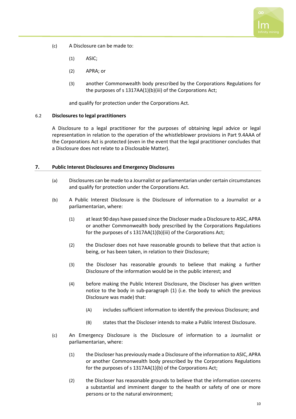

- (c) A Disclosure can be made to:
	- (1) ASIC;
	- (2) APRA; or
	- (3) another Commonwealth body prescribed by the Corporations Regulations for the purposes of s 1317AA(1)(b)(iii) of the Corporations Act;

and qualify for protection under the Corporations Act.

#### <span id="page-11-0"></span>6.2 **Disclosures to legal practitioners**

A Disclosure to a legal practitioner for the purposes of obtaining legal advice or legal representation in relation to the operation of the whistleblower provisions in Part 9.4AAA of the Corporations Act is protected (even in the event that the legal practitioner concludes that a Disclosure does not relate to a Disclosable Matter).

#### <span id="page-11-1"></span>**7. Public Interest Disclosures and Emergency Disclosures**

- (a) Disclosures can be made to a Journalist or parliamentarian under certain circumstances and qualify for protection under the Corporations Act.
- <span id="page-11-4"></span><span id="page-11-3"></span>(b) A Public Interest Disclosure is the Disclosure of information to a Journalist or a parliamentarian, where:
	- (1) at least 90 days have passed since the Discloser made a Disclosure to ASIC, APRA or another Commonwealth body prescribed by the Corporations Regulations for the purposes of s 1317AA(1)(b)(iii) of the Corporations Act;
	- (2) the Discloser does not have reasonable grounds to believe that that action is being, or has been taken, in relation to their Disclosure;
	- (3) the Discloser has reasonable grounds to believe that making a further Disclosure of the information would be in the public interest; and
	- (4) before making the Public Interest Disclosure, the Discloser has given written notice to the body in sub-paragraph [\(1\)](#page-11-4) (i.e. the body to which the previous Disclosure was made) that:
		- (A) includes sufficient information to identify the previous Disclosure; and
		- (B) states that the Discloser intends to make a Public Interest Disclosure.
- <span id="page-11-5"></span><span id="page-11-2"></span>(c) An Emergency Disclosure is the Disclosure of information to a Journalist or parliamentarian, where:
	- (1) the Discloser has previously made a Disclosure of the information to ASIC, APRA or another Commonwealth body prescribed by the Corporations Regulations for the purposes of s 1317AA(1)(b) of the Corporations Act;
	- (2) the Discloser has reasonable grounds to believe that the information concerns a substantial and imminent danger to the health or safety of one or more persons or to the natural environment;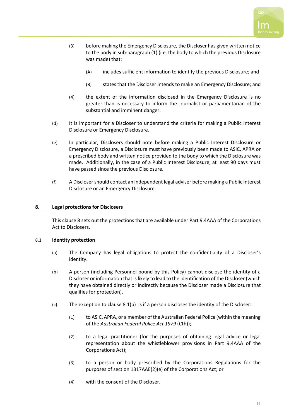

- (3) before making the Emergency Disclosure, the Discloser has given written notice to the body in sub-paragrap[h \(1\)](#page-11-5) (i.e. the body to which the previous Disclosure was made) that:
	- (A) includes sufficient information to identify the previous Disclosure; and
	- (B) states that the Discloser intends to make an Emergency Disclosure; and
- (4) the extent of the information disclosed in the Emergency Disclosure is no greater than is necessary to inform the Journalist or parliamentarian of the substantial and imminent danger.
- (d) It is important for a Discloser to understand the criteria for making a Public Interest Disclosure or Emergency Disclosure.
- (e) In particular, Disclosers should note before making a Public Interest Disclosure or Emergency Disclosure, a Disclosure must have previously been made to ASIC, APRA or a prescribed body and written notice provided to the body to which the Disclosure was made. Additionally, in the case of a Public Interest Disclosure, at least 90 days must have passed since the previous Disclosure.
- (f) A Disclosershould contact an independent legal adviser before making a Public Interest Disclosure or an Emergency Disclosure.

#### <span id="page-12-0"></span>**8. Legal protections for Disclosers**

This claus[e 8](#page-12-0) sets out the protections that are available under Part 9.4AAA of the Corporations Act to Disclosers.

#### <span id="page-12-1"></span>8.1 **Identity protection**

- (a) The Company has legal obligations to protect the confidentiality of a Discloser's identity.
- <span id="page-12-2"></span>(b) A person (including Personnel bound by this Policy) cannot disclose the identity of a Discloser or information that is likely to lead to the identification of the Discloser (which they have obtained directly or indirectly because the Discloser made a Disclosure that qualifies for protection).
- <span id="page-12-3"></span>(c) The exception to clause [8.1\(b\)](#page-12-2) is if a person discloses the identity of the Discloser:
	- (1) to ASIC, APRA, or a member of the Australian Federal Police (within the meaning of the *Australian Federal Police Act 1979* (Cth));
	- (2) to a legal practitioner (for the purposes of obtaining legal advice or legal representation about the whistleblower provisions in Part 9.4AAA of the Corporations Act);
	- (3) to a person or body prescribed by the Corporations Regulations for the purposes of section 1317AAE(2)(e) of the Corporations Act; or
	- (4) with the consent of the Discloser.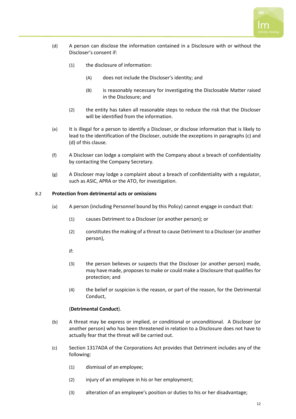

- <span id="page-13-1"></span>(d) A person can disclose the information contained in a Disclosure with or without the Discloser's consent if:
	- (1) the disclosure of information:
		- (A) does not include the Discloser's identity; and
		- (B) is reasonably necessary for investigating the Disclosable Matter raised in the Disclosure; and
	- (2) the entity has taken all reasonable steps to reduce the risk that the Discloser will be identified from the information.
- (e) It is illegal for a person to identify a Discloser, or disclose information that is likely to lead to the identification of the Discloser, outside the exceptions in paragraphs [\(c\)](#page-12-3) and [\(d\)](#page-13-1) of this clause.
- (f) A Discloser can lodge a complaint with the Company about a breach of confidentiality by contacting the Company Secretary.
- (g) A Discloser may lodge a complaint about a breach of confidentiality with a regulator, such as ASIC, APRA or the ATO, for investigation.

#### <span id="page-13-0"></span>8.2 **Protection from detrimental acts or omissions**

- (a) A person (including Personnel bound by this Policy) cannot engage in conduct that:
	- (1) causes Detriment to a Discloser (or another person); or
	- (2) constitutes the making of a threat to cause Detriment to a Discloser (or another person),
	- if:
	- (3) the person believes or suspects that the Discloser (or another person) made, may have made, proposes to make or could make a Disclosure that qualifies for protection; and
	- (4) the belief or suspicion is the reason, or part of the reason, for the Detrimental Conduct,

#### (**Detrimental Conduct**).

- (b) A threat may be express or implied, or conditional or unconditional. A Discloser (or another person) who has been threatened in relation to a Disclosure does not have to actually fear that the threat will be carried out.
- (c) Section 1317ADA of the Corporations Act provides that Detriment includes any of the following:
	- (1) dismissal of an employee;
	- (2) injury of an employee in his or her employment;
	- (3) alteration of an employee's position or duties to his or her disadvantage;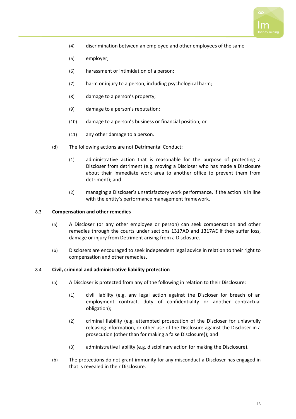

- (4) discrimination between an employee and other employees of the same
- (5) employer;
- (6) harassment or intimidation of a person;
- (7) harm or injury to a person, including psychological harm;
- (8) damage to a person's property;
- (9) damage to a person's reputation;
- (10) damage to a person's business or financial position; or
- (11) any other damage to a person.
- (d) The following actions are not Detrimental Conduct:
	- (1) administrative action that is reasonable for the purpose of protecting a Discloser from detriment (e.g. moving a Discloser who has made a Disclosure about their immediate work area to another office to prevent them from detriment); and
	- (2) managing a Discloser's unsatisfactory work performance, if the action is in line with the entity's performance management framework.

#### <span id="page-14-0"></span>8.3 **Compensation and other remedies**

- (a) A Discloser (or any other employee or person) can seek compensation and other remedies through the courts under sections 1317AD and 1317AE if they suffer loss, damage or injury from Detriment arising from a Disclosure.
- (b) Disclosers are encouraged to seek independent legal advice in relation to their right to compensation and other remedies.

#### <span id="page-14-1"></span>8.4 **Civil, criminal and administrative liability protection**

- (a) A Discloser is protected from any of the following in relation to their Disclosure:
	- (1) civil liability (e.g. any legal action against the Discloser for breach of an employment contract, duty of confidentiality or another contractual obligation);
	- (2) criminal liability (e.g. attempted prosecution of the Discloser for unlawfully releasing information, or other use of the Disclosure against the Discloser in a prosecution (other than for making a false Disclosure)); and
	- (3) administrative liability (e.g. disciplinary action for making the Disclosure).
- (b) The protections do not grant immunity for any misconduct a Discloser has engaged in that is revealed in their Disclosure.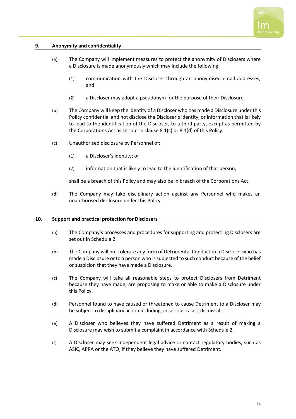

#### <span id="page-15-0"></span>**9. Anonymity and confidentiality**

- (a) The Company will implement measures to protect the anonymity of Disclosers where a Disclosure is made anonymously which may include the following:
	- (1) communication with the Discloser through an anonymised email addresses; and
	- (2) a Discloser may adopt a pseudonym for the purpose of their Disclosure.
- (b) The Company will keep the identity of a Discloser who has made a Disclosure under this Policy confidential and not disclose the Discloser's identity, or information that is likely to lead to the identification of the Discloser, to a third party, except as permitted by the Corporations Act as set out in clause [8.1\(c\)](#page-12-3) or [8.1\(d\)](#page-13-1) of this Policy.
- (c) Unauthorised disclosure by Personnel of:
	- (1) a Discloser's identity; or
	- (2) information that is likely to lead to the identification of that person,

shall be a breach of this Policy and may also be in breach of the Corporations Act.

(d) The Company may take disciplinary action against any Personnel who makes an unauthorised disclosure under this Policy.

#### <span id="page-15-1"></span>**10. Support and practical protection for Disclosers**

- (a) The Company's processes and procedures for supporting and protecting Disclosers are set out i[n Schedule](#page-21-0) 2.
- (b) The Company will not tolerate any form of Detrimental Conduct to a Discloser who has made a Disclosure or to a person who is subjected to such conduct because of the belief or suspicion that they have made a Disclosure.
- (c) The Company will take all reasonable steps to protect Disclosers from Detriment because they have made, are proposing to make or able to make a Disclosure under this Policy.
- (d) Personnel found to have caused or threatened to cause Detriment to a Discloser may be subject to disciplinary action including, in serious cases, dismissal.
- (e) A Discloser who believes they have suffered Detriment as a result of making a Disclosure may wish to submit a complaint in accordance with [Schedule](#page-21-0) 2.
- (f) A Discloser may seek independent legal advice or contact regulatory bodies, such as ASIC, APRA or the ATO, if they believe they have suffered Detriment.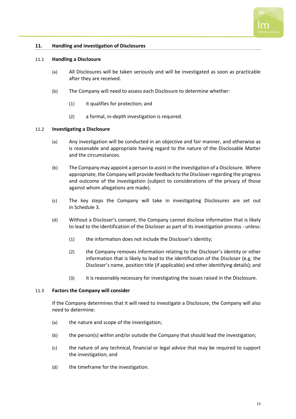

#### <span id="page-16-0"></span>**11. Handling and investigation of Disclosures**

#### <span id="page-16-1"></span>11.1 **Handling a Disclosure**

- (a) All Disclosures will be taken seriously and will be investigated as soon as practicable after they are received.
- (b) The Company will need to assess each Disclosure to determine whether:
	- (1) it qualifies for protection; and
	- (2) a formal, in-depth investigation is required.

#### <span id="page-16-2"></span>11.2 **Investigating a Disclosure**

- (a) Any investigation will be conducted in an objective and fair manner, and otherwise as is reasonable and appropriate having regard to the nature of the Disclosable Matter and the circumstances.
- (b) The Company may appoint a person to assist in the investigation of a Disclosure. Where appropriate, the Company will provide feedback to the Discloser regarding the progress and outcome of the investigation (subject to considerations of the privacy of those against whom allegations are made).
- (c) The key steps the Company will take in investigating Disclosures are set out in [Schedule](#page-22-0) 3.
- (d) Without a Discloser's consent, the Company cannot disclose information that is likely to lead to the identification of the Discloser as part of its investigation process - unless:
	- (1) the information does not include the Discloser's identity;
	- (2) the Company removes information relating to the Discloser's identity or other information that is likely to lead to the identification of the Discloser (e.g. the Discloser's name, position title (if applicable) and other identifying details); and
	- (3) it is reasonably necessary for investigating the issues raised in the Disclosure.

#### <span id="page-16-3"></span>11.3 **Factors the Company will consider**

If the Company determines that it will need to investigate a Disclosure, the Company will also need to determine:

- (a) the nature and scope of the investigation;
- (b) the person(s) within and/or outside the Company that should lead the investigation;
- (c) the nature of any technical, financial or legal advice that may be required to support the investigation; and
- (d) the timeframe for the investigation.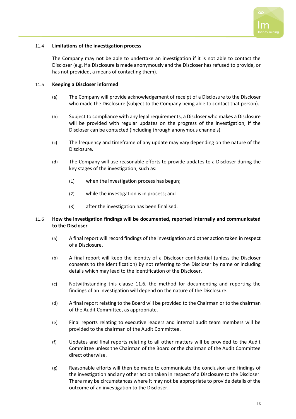

#### <span id="page-17-0"></span>11.4 **Limitations of the investigation process**

The Company may not be able to undertake an investigation if it is not able to contact the Discloser (e.g. if a Disclosure is made anonymously and the Discloser has refused to provide, or has not provided, a means of contacting them).

#### <span id="page-17-1"></span>11.5 **Keeping a Discloser informed**

- (a) The Company will provide acknowledgement of receipt of a Disclosure to the Discloser who made the Disclosure (subject to the Company being able to contact that person).
- (b) Subject to compliance with any legal requirements, a Discloser who makes a Disclosure will be provided with regular updates on the progress of the investigation, if the Discloser can be contacted (including through anonymous channels).
- (c) The frequency and timeframe of any update may vary depending on the nature of the Disclosure.
- (d) The Company will use reasonable efforts to provide updates to a Discloser during the key stages of the investigation, such as:
	- (1) when the investigation process has begun;
	- (2) while the investigation is in process; and
	- (3) after the investigation has been finalised.

#### <span id="page-17-2"></span>11.6 **How the investigation findings will be documented, reported internally and communicated to the Discloser**

- (a) A final report will record findings of the investigation and other action taken in respect of a Disclosure.
- (b) A final report will keep the identity of a Discloser confidential (unless the Discloser consents to the identification) by not referring to the Discloser by name or including details which may lead to the identification of the Discloser.
- (c) Notwithstanding this clause [11.6,](#page-17-2) the method for documenting and reporting the findings of an investigation will depend on the nature of the Disclosure.
- (d) A final report relating to the Board will be provided to the Chairman or to the chairman of the Audit Committee, as appropriate.
- (e) Final reports relating to executive leaders and internal audit team members will be provided to the chairman of the Audit Committee.
- (f) Updates and final reports relating to all other matters will be provided to the Audit Committee unless the Chairman of the Board or the chairman of the Audit Committee direct otherwise.
- (g) Reasonable efforts will then be made to communicate the conclusion and findings of the investigation and any other action taken in respect of a Disclosure to the Discloser. There may be circumstances where it may not be appropriate to provide details of the outcome of an investigation to the Discloser.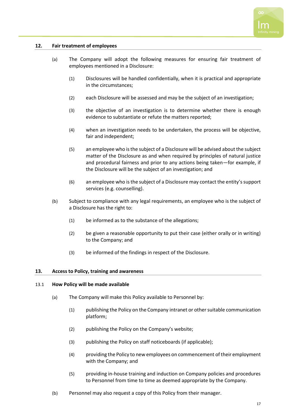

#### <span id="page-18-0"></span>**12. Fair treatment of employees**

- (a) The Company will adopt the following measures for ensuring fair treatment of employees mentioned in a Disclosure:
	- (1) Disclosures will be handled confidentially, when it is practical and appropriate in the circumstances;
	- (2) each Disclosure will be assessed and may be the subject of an investigation;
	- (3) the objective of an investigation is to determine whether there is enough evidence to substantiate or refute the matters reported;
	- (4) when an investigation needs to be undertaken, the process will be objective, fair and independent;
	- (5) an employee who is the subject of a Disclosure will be advised about the subject matter of the Disclosure as and when required by principles of natural justice and procedural fairness and prior to any actions being taken—for example, if the Disclosure will be the subject of an investigation; and
	- (6) an employee who is the subject of a Disclosure may contact the entity's support services (e.g. counselling).
- (b) Subject to compliance with any legal requirements, an employee who is the subject of a Disclosure has the right to:
	- (1) be informed as to the substance of the allegations;
	- (2) be given a reasonable opportunity to put their case (either orally or in writing) to the Company; and
	- (3) be informed of the findings in respect of the Disclosure.

#### <span id="page-18-1"></span>**13. Access to Policy, training and awareness**

#### <span id="page-18-2"></span>13.1 **How Policy will be made available**

- (a) The Company will make this Policy available to Personnel by:
	- (1) publishing the Policy on the Company intranet or other suitable communication platform;
	- (2) publishing the Policy on the Company's website;
	- (3) publishing the Policy on staff noticeboards (if applicable);
	- (4) providing the Policy to new employees on commencement of their employment with the Company; and
	- (5) providing in-house training and induction on Company policies and procedures to Personnel from time to time as deemed appropriate by the Company.
- (b) Personnel may also request a copy of this Policy from their manager.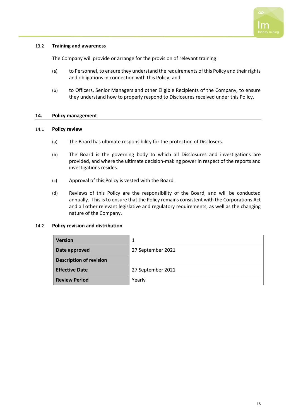

#### <span id="page-19-0"></span>13.2 **Training and awareness**

The Company will provide or arrange for the provision of relevant training:

- (a) to Personnel, to ensure they understand the requirements of this Policy and their rights and obligations in connection with this Policy; and
- (b) to Officers, Senior Managers and other Eligible Recipients of the Company, to ensure they understand how to properly respond to Disclosures received under this Policy.

#### <span id="page-19-1"></span>**14. Policy management**

#### <span id="page-19-2"></span>14.1 **Policy review**

- (a) The Board has ultimate responsibility for the protection of Disclosers.
- (b) The Board is the governing body to which all Disclosures and investigations are provided, and where the ultimate decision-making power in respect of the reports and investigations resides.
- (c) Approval of this Policy is vested with the Board.
- (d) Reviews of this Policy are the responsibility of the Board, and will be conducted annually. This is to ensure that the Policy remains consistent with the Corporations Act and all other relevant legislative and regulatory requirements, as well as the changing nature of the Company.

#### <span id="page-19-3"></span>14.2 **Policy revision and distribution**

| <b>Version</b>                 | 1                 |  |
|--------------------------------|-------------------|--|
| Date approved                  | 27 September 2021 |  |
| <b>Description of revision</b> |                   |  |
| <b>Effective Date</b>          | 27 September 2021 |  |
| <b>Review Period</b>           | Yearly            |  |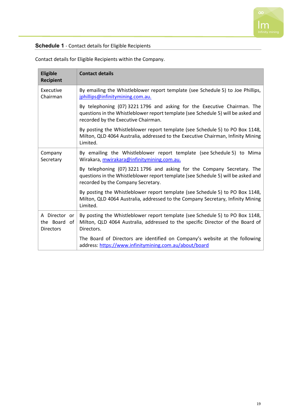

## <span id="page-20-0"></span>**Schedule 1** - Contact details for Eligible Recipients

| <b>Eligible</b><br><b>Recipient</b>                  | <b>Contact details</b>                                                                                                                                                                               |
|------------------------------------------------------|------------------------------------------------------------------------------------------------------------------------------------------------------------------------------------------------------|
| Executive<br>Chairman                                | By emailing the Whistleblower report template (see Schedule 5) to Joe Phillips,<br>jphillips@infinitymining.com.au.                                                                                  |
|                                                      | By telephoning (07) 3221 1796 and asking for the Executive Chairman. The<br>questions in the Whistleblower report template (see Schedule 5) will be asked and<br>recorded by the Executive Chairman. |
|                                                      | By posting the Whistleblower report template (see Schedule 5) to PO Box 1148,<br>Milton, QLD 4064 Australia, addressed to the Executive Chairman, Infinity Mining<br>Limited.                        |
| Company<br>Secretary                                 | By emailing the Whistleblower report template (see Schedule 5) to Mima<br>Wirakara, mwirakara@infinitymining.com.au.                                                                                 |
|                                                      | By telephoning (07) 3221 1796 and asking for the Company Secretary. The<br>questions in the Whistleblower report template (see Schedule 5) will be asked and<br>recorded by the Company Secretary.   |
|                                                      | By posting the Whistleblower report template (see Schedule 5) to PO Box 1148,<br>Milton, QLD 4064 Australia, addressed to the Company Secretary, Infinity Mining<br>Limited.                         |
| A Director or<br>the Board<br>of<br><b>Directors</b> | By posting the Whistleblower report template (see Schedule 5) to PO Box 1148,<br>Milton, QLD 4064 Australia, addressed to the specific Director of the Board of<br>Directors.                        |
|                                                      | The Board of Directors are identified on Company's website at the following<br>address: https://www.infinitymining.com.au/about/board                                                                |

Contact details for Eligible Recipients within the Company.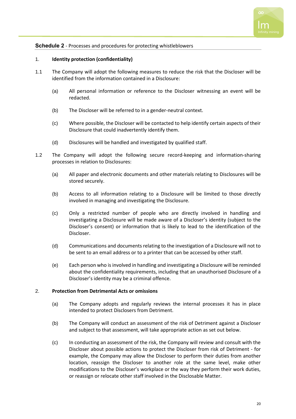

#### <span id="page-21-0"></span>**Schedule 2** - Processes and procedures for protecting whistleblowers

#### 1. **Identity protection (confidentiality)**

- 1.1 The Company will adopt the following measures to reduce the risk that the Discloser will be identified from the information contained in a Disclosure:
	- (a) All personal information or reference to the Discloser witnessing an event will be redacted.
	- (b) The Discloser will be referred to in a gender-neutral context.
	- (c) Where possible, the Discloser will be contacted to help identify certain aspects of their Disclosure that could inadvertently identify them.
	- (d) Disclosures will be handled and investigated by qualified staff.
- 1.2 The Company will adopt the following secure record-keeping and information-sharing processes in relation to Disclosures:
	- (a) All paper and electronic documents and other materials relating to Disclosures will be stored securely.
	- (b) Access to all information relating to a Disclosure will be limited to those directly involved in managing and investigating the Disclosure.
	- (c) Only a restricted number of people who are directly involved in handling and investigating a Disclosure will be made aware of a Discloser's identity (subject to the Discloser's consent) or information that is likely to lead to the identification of the Discloser.
	- (d) Communications and documents relating to the investigation of a Disclosure will not to be sent to an email address or to a printer that can be accessed by other staff.
	- (e) Each person who is involved in handling and investigating a Disclosure will be reminded about the confidentiality requirements, including that an unauthorised Disclosure of a Discloser's identity may be a criminal offence.

#### 2. **Protection from Detrimental Acts or omissions**

- (a) The Company adopts and regularly reviews the internal processes it has in place intended to protect Disclosers from Detriment.
- (b) The Company will conduct an assessment of the risk of Detriment against a Discloser and subject to that assessment, will take appropriate action as set out below.
- (c) In conducting an assessment of the risk, the Company will review and consult with the Discloser about possible actions to protect the Discloser from risk of Detriment - for example, the Company may allow the Discloser to perform their duties from another location, reassign the Discloser to another role at the same level, make other modifications to the Discloser's workplace or the way they perform their work duties, or reassign or relocate other staff involved in the Disclosable Matter.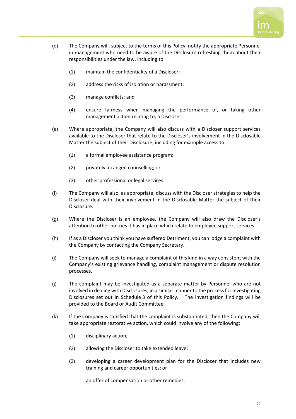

- (d) The Company will, subject to the terms of this Policy, notify the appropriate Personnel in management who need to be aware of the Disclosure refreshing them about their responsibilities under the law, including to:
	- (1) maintain the confidentiality of a Discloser;
	- (2) address the risks of isolation or harassment;
	- (3) manage conflicts; and
	- (4) ensure fairness when managing the performance of, or taking other management action relating to, a Discloser.
- (e) Where appropriate, the Company will also discuss with a Discloser support services available to the Discloser that relate to the Discloser's involvement in the Disclosable Matter the subject of their Disclosure, including for example access to:
	- (1) a formal employee assistance program;
	- (2) privately arranged counselling; or
	- (3) other professional or legal services.
- (f) The Company will also, as appropriate, discuss with the Discloser strategies to help the Discloser deal with their involvement in the Disclosable Matter the subject of their Disclosure.
- (g) Where the Discloser is an employee, the Company will also draw the Discloser's attention to other policies it has in place which relate to employee support services.
- (h) If as a Discloser you think you have suffered Detriment, you can lodge a complaint with the Company by contacting the Company Secretary.
- (i) The Company will seek to manage a complaint of this kind in a way consistent with the Company's existing grievance handling, complaint management or dispute resolution processes.
- (j) The complaint may be investigated as a separate matter by Personnel who are not involved in dealing with Disclosures, in a similar manner to the process for investigating Disclosures set out in [Schedule](#page-22-0) 3 of this Policy. The investigation findings will be provided to the Board or Audit Committee.
- (k) If the Company is satisfied that the complaint is substantiated, then the Company will take appropriate restorative action, which could involve any of the following:
	- (1) disciplinary action;
	- (2) allowing the Discloser to take extended leave;
	- (3) developing a career development plan for the Discloser that includes new training and career opportunities; or

<span id="page-22-0"></span>an offer of compensation or other remedies.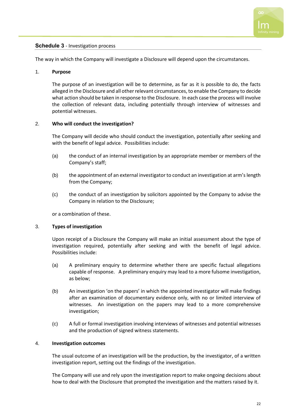

#### <span id="page-23-0"></span>**Schedule 3** - Investigation process

The way in which the Company will investigate a Disclosure will depend upon the circumstances.

#### 1. **Purpose**

The purpose of an investigation will be to determine, as far as it is possible to do, the facts alleged in the Disclosure and all other relevant circumstances, to enable the Company to decide what action should be taken in response to the Disclosure. In each case the process will involve the collection of relevant data, including potentially through interview of witnesses and potential witnesses.

#### 2. **Who will conduct the investigation?**

The Company will decide who should conduct the investigation, potentially after seeking and with the benefit of legal advice. Possibilities include:

- (a) the conduct of an internal investigation by an appropriate member or members of the Company's staff;
- (b) the appointment of an external investigator to conduct an investigation at arm's length from the Company;
- (c) the conduct of an investigation by solicitors appointed by the Company to advise the Company in relation to the Disclosure;

or a combination of these.

#### 3. **Types of investigation**

Upon receipt of a Disclosure the Company will make an initial assessment about the type of investigation required, potentially after seeking and with the benefit of legal advice. Possibilities include:

- (a) A preliminary enquiry to determine whether there are specific factual allegations capable of response. A preliminary enquiry may lead to a more fulsome investigation, as below;
- (b) An investigation 'on the papers' in which the appointed investigator will make findings after an examination of documentary evidence only, with no or limited interview of witnesses. An investigation on the papers may lead to a more comprehensive investigation;
- (c) A full or formal investigation involving interviews of witnesses and potential witnesses and the production of signed witness statements.

#### 4. **Investigation outcomes**

The usual outcome of an investigation will be the production, by the investigator, of a written investigation report, setting out the findings of the investigation.

The Company will use and rely upon the investigation report to make ongoing decisions about how to deal with the Disclosure that prompted the investigation and the matters raised by it.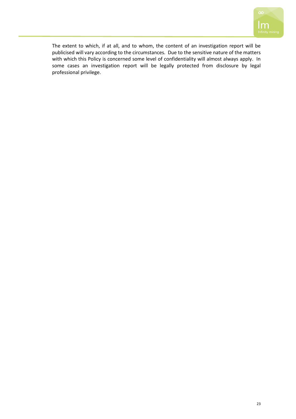

The extent to which, if at all, and to whom, the content of an investigation report will be publicised will vary according to the circumstances. Due to the sensitive nature of the matters with which this Policy is concerned some level of confidentiality will almost always apply. In some cases an investigation report will be legally protected from disclosure by legal professional privilege.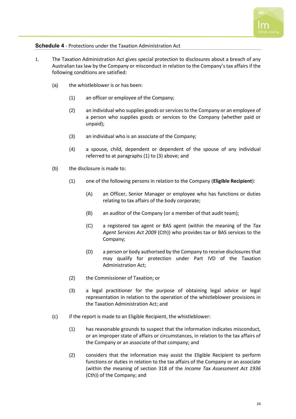

#### <span id="page-25-0"></span>**Schedule 4** - Protections under the Taxation Administration Act

- <span id="page-25-2"></span><span id="page-25-1"></span>1. The Taxation Administration Act gives special protection to disclosures about a breach of any Australian tax law by the Company or misconduct in relation to the Company's tax affairs if the following conditions are satisfied:
	- (a) the whistleblower is or has been:
		- (1) an officer or employee of the Company;
		- (2) an individual who supplies goods or services to the Company or an employee of a person who supplies goods or services to the Company (whether paid or unpaid);
		- (3) an individual who is an associate of the Company;
		- (4) a spouse, child, dependent or dependent of the spouse of any individual referred to at paragraph[s \(1\)](#page-25-1) to [\(3\)](#page-25-2) above; and
	- (b) the disclosure is made to:
		- (1) one of the following persons in relation to the Company (**Eligible Recipient**):
			- (A) an Officer, Senior Manager or employee who has functions or duties relating to tax affairs of the body corporate;
			- (B) an auditor of the Company (or a member of that audit team);
			- (C) a registered tax agent or BAS agent (within the meaning of the *Tax Agent Services Act 2009* (Cth)) who provides tax or BAS services to the Company;
			- (D) a person or body authorised by the Company to receive disclosures that may qualify for protection under Part IVD of the Taxation Administration Act;
		- (2) the Commissioner of Taxation; or
		- (3) a legal practitioner for the purpose of obtaining legal advice or legal representation in relation to the operation of the whistleblower provisions in the Taxation Administration Act; and
	- (c) if the report is made to an Eligible Recipient, the whistleblower:
		- (1) has reasonable grounds to suspect that the information indicates misconduct, or an improper state of affairs or circumstances, in relation to the tax affairs of the Company or an associate of that company; and
		- (2) considers that the information may assist the Eligible Recipient to perform functions or duties in relation to the tax affairs of the Company or an associate (within the meaning of section 318 of the *Income Tax Assessment Act 1936* (Cth)) of the Company; and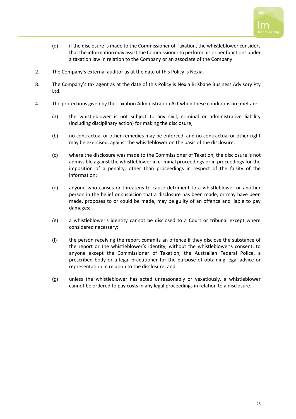

- (d) if the disclosure is made to the Commissioner of Taxation, the whistleblower considers that the information may assist the Commissioner to perform his or her functions under a taxation law in relation to the Company or an associate of the Company.
- 2. The Company's external auditor as at the date of this Policy is Nexia.
- 3. The Company's tax agent as at the date of this Policy is Nexia Brisbane Business Advisory Pty Ltd.
- 4. The protections given by the Taxation Administration Act when these conditions are met are:
	- (a) the whistleblower is not subject to any civil, criminal or administrative liability (including disciplinary action) for making the disclosure;
	- (b) no contractual or other remedies may be enforced, and no contractual or other right may be exercised, against the whistleblower on the basis of the disclosure;
	- (c) where the disclosure was made to the Commissioner of Taxation, the disclosure is not admissible against the whistleblower in criminal proceedings or in proceedings for the imposition of a penalty, other than proceedings in respect of the falsity of the information;
	- (d) anyone who causes or threatens to cause detriment to a whistleblower or another person in the belief or suspicion that a disclosure has been made, or may have been made, proposes to or could be made, may be guilty of an offence and liable to pay damages;
	- (e) a whistleblower's identity cannot be disclosed to a Court or tribunal except where considered necessary;
	- (f) the person receiving the report commits an offence if they disclose the substance of the report or the whistleblower's identity, without the whistleblower's consent, to anyone except the Commissioner of Taxation, the Australian Federal Police, a prescribed body or a legal practitioner for the purpose of obtaining legal advice or representation in relation to the disclosure; and
	- (g) unless the whistleblower has acted unreasonably or vexatiously, a whistleblower cannot be ordered to pay costs in any legal proceedings in relation to a disclosure.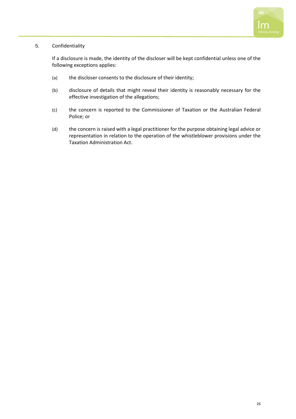

#### 5. Confidentiality

If a disclosure is made, the identity of the discloser will be kept confidential unless one of the following exceptions applies:

- (a) the discloser consents to the disclosure of their identity;
- (b) disclosure of details that might reveal their identity is reasonably necessary for the effective investigation of the allegations;
- (c) the concern is reported to the Commissioner of Taxation or the Australian Federal Police; or
- (d) the concern is raised with a legal practitioner for the purpose obtaining legal advice or representation in relation to the operation of the whistleblower provisions under the Taxation Administration Act.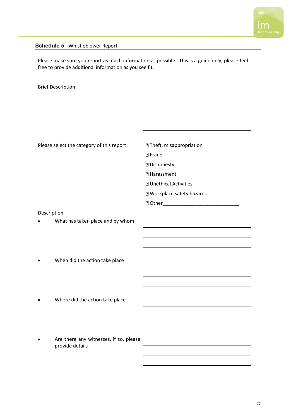

### <span id="page-28-0"></span>**Schedule 5** - Whistleblower Report

Please make sure you report as much information as possible. This is a guide only, please feel free to provide additional information as you see fit.

|             | <b>Brief Description:</b>                                 |                                                                                                                                                                         |
|-------------|-----------------------------------------------------------|-------------------------------------------------------------------------------------------------------------------------------------------------------------------------|
|             | Please select the category of this report                 | <b>27 Theft, misappropriation</b><br><b>图 Fraud</b><br><b>2 Dishonesty</b><br><b>2 Harassment</b><br><b>2 Unethical Activities</b><br><b>2 Workplace safety hazards</b> |
| Description | What has taken place and by whom                          |                                                                                                                                                                         |
|             | When did the action take place                            |                                                                                                                                                                         |
|             | Where did the action take place                           |                                                                                                                                                                         |
|             | Are there any witnesses, if so, please<br>provide details |                                                                                                                                                                         |